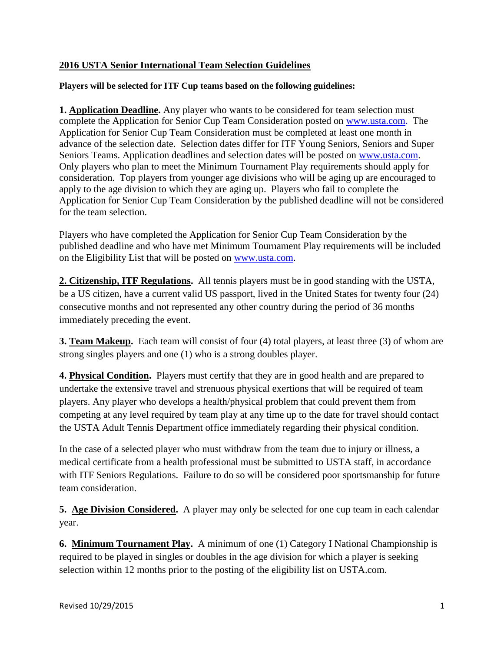## **2016 USTA Senior International Team Selection Guidelines**

## **Players will be selected for ITF Cup teams based on the following guidelines:**

**1. Application Deadline.** Any player who wants to be considered for team selection must complete the Application for Senior Cup Team Consideration posted on [www.usta.com.](http://www.usta.com/) The Application for Senior Cup Team Consideration must be completed at least one month in advance of the selection date. Selection dates differ for ITF Young Seniors, Seniors and Super Seniors Teams. Application deadlines and selection dates will be posted on [www.usta.com.](http://www.usta.com/) Only players who plan to meet the Minimum Tournament Play requirements should apply for consideration. Top players from younger age divisions who will be aging up are encouraged to apply to the age division to which they are aging up. Players who fail to complete the Application for Senior Cup Team Consideration by the published deadline will not be considered for the team selection.

Players who have completed the Application for Senior Cup Team Consideration by the published deadline and who have met Minimum Tournament Play requirements will be included on the Eligibility List that will be posted on [www.usta.com.](http://www.usta.com/)

**2. Citizenship, ITF Regulations.** All tennis players must be in good standing with the USTA, be a US citizen, have a current valid US passport, lived in the United States for twenty four (24) consecutive months and not represented any other country during the period of 36 months immediately preceding the event.

**3. Team Makeup.** Each team will consist of four (4) total players, at least three (3) of whom are strong singles players and one (1) who is a strong doubles player.

**4. Physical Condition.** Players must certify that they are in good health and are prepared to undertake the extensive travel and strenuous physical exertions that will be required of team players. Any player who develops a health/physical problem that could prevent them from competing at any level required by team play at any time up to the date for travel should contact the USTA Adult Tennis Department office immediately regarding their physical condition.

In the case of a selected player who must withdraw from the team due to injury or illness, a medical certificate from a health professional must be submitted to USTA staff, in accordance with ITF Seniors Regulations. Failure to do so will be considered poor sportsmanship for future team consideration.

**5. Age Division Considered.** A player may only be selected for one cup team in each calendar year.

**6. Minimum Tournament Play.** A minimum of one (1) Category I National Championship is required to be played in singles or doubles in the age division for which a player is seeking selection within 12 months prior to the posting of the eligibility list on USTA.com.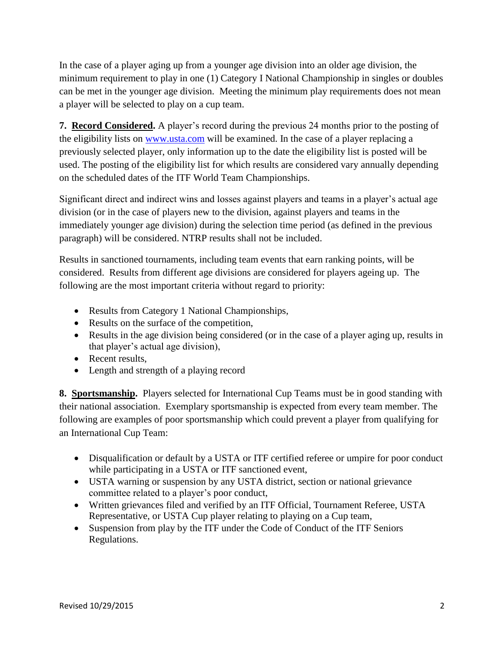In the case of a player aging up from a younger age division into an older age division, the minimum requirement to play in one (1) Category I National Championship in singles or doubles can be met in the younger age division. Meeting the minimum play requirements does not mean a player will be selected to play on a cup team.

**7. Record Considered.** A player's record during the previous 24 months prior to the posting of the eligibility lists on [www.usta.com](http://www.usta.com/) will be examined. In the case of a player replacing a previously selected player, only information up to the date the eligibility list is posted will be used. The posting of the eligibility list for which results are considered vary annually depending on the scheduled dates of the ITF World Team Championships.

Significant direct and indirect wins and losses against players and teams in a player's actual age division (or in the case of players new to the division, against players and teams in the immediately younger age division) during the selection time period (as defined in the previous paragraph) will be considered. NTRP results shall not be included.

Results in sanctioned tournaments, including team events that earn ranking points, will be considered. Results from different age divisions are considered for players ageing up. The following are the most important criteria without regard to priority:

- Results from Category 1 National Championships,
- Results on the surface of the competition,
- Results in the age division being considered (or in the case of a player aging up, results in that player's actual age division),
- Recent results.
- Length and strength of a playing record

**8. Sportsmanship.** Players selected for International Cup Teams must be in good standing with their national association. Exemplary sportsmanship is expected from every team member. The following are examples of poor sportsmanship which could prevent a player from qualifying for an International Cup Team:

- Disqualification or default by a USTA or ITF certified referee or umpire for poor conduct while participating in a USTA or ITF sanctioned event,
- USTA warning or suspension by any USTA district, section or national grievance committee related to a player's poor conduct,
- Written grievances filed and verified by an ITF Official, Tournament Referee, USTA Representative, or USTA Cup player relating to playing on a Cup team,
- Suspension from play by the ITF under the Code of Conduct of the ITF Seniors Regulations.